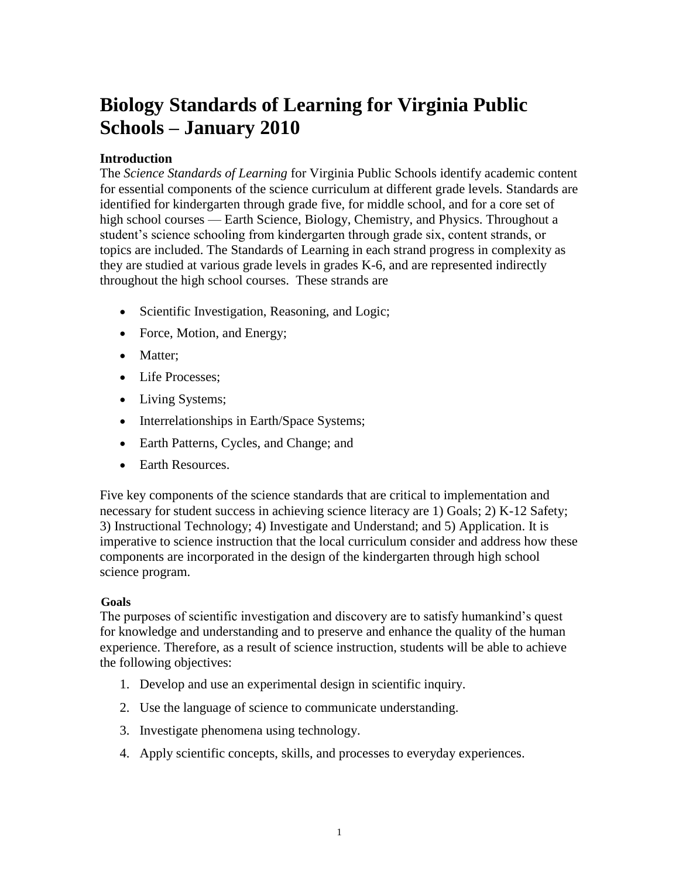## **Biology Standards of Learning for Virginia Public Schools – January 2010**

### **Introduction**

The *Science Standards of Learning* for Virginia Public Schools identify academic content for essential components of the science curriculum at different grade levels. Standards are identified for kindergarten through grade five, for middle school, and for a core set of high school courses — Earth Science, Biology, Chemistry, and Physics. Throughout a student's science schooling from kindergarten through grade six, content strands, or topics are included. The Standards of Learning in each strand progress in complexity as they are studied at various grade levels in grades K-6, and are represented indirectly throughout the high school courses. These strands are

- Scientific Investigation, Reasoning, and Logic;
- Force, Motion, and Energy;
- Matter:
- Life Processes:
- Living Systems;
- Interrelationships in Earth/Space Systems;
- Earth Patterns, Cycles, and Change; and
- Earth Resources.

Five key components of the science standards that are critical to implementation and necessary for student success in achieving science literacy are 1) Goals; 2) K-12 Safety; 3) Instructional Technology; 4) Investigate and Understand; and 5) Application. It is imperative to science instruction that the local curriculum consider and address how these components are incorporated in the design of the kindergarten through high school science program.

#### **Goals**

The purposes of scientific investigation and discovery are to satisfy humankind's quest for knowledge and understanding and to preserve and enhance the quality of the human experience. Therefore, as a result of science instruction, students will be able to achieve the following objectives:

- 1. Develop and use an experimental design in scientific inquiry.
- 2. Use the language of science to communicate understanding.
- 3. Investigate phenomena using technology.
- 4. Apply scientific concepts, skills, and processes to everyday experiences.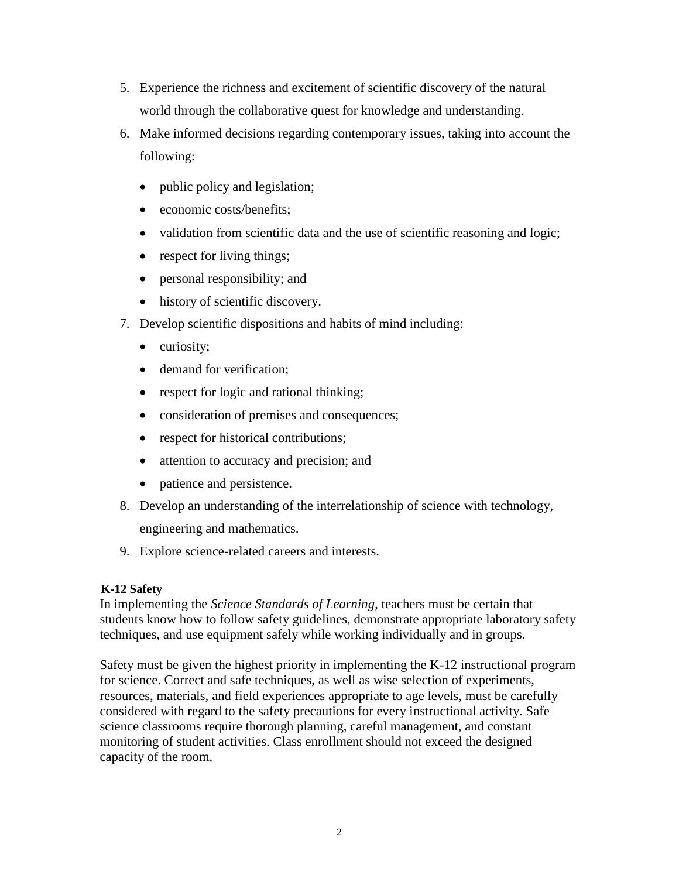- 5. Experience the richness and excitement of scientific discovery of the natural world through the collaborative quest for knowledge and understanding.
- 6. Make informed decisions regarding contemporary issues, taking into account the following:
	- public policy and legislation;
	- economic costs/benefits;
	- validation from scientific data and the use of scientific reasoning and logic;
	- respect for living things;
	- personal responsibility; and
	- history of scientific discovery.
- 7. Develop scientific dispositions and habits of mind including:
	- curiosity;
	- demand for verification:
	- respect for logic and rational thinking;
	- consideration of premises and consequences;
	- respect for historical contributions;
	- attention to accuracy and precision; and
	- patience and persistence.
- 8. Develop an understanding of the interrelationship of science with technology,

engineering and mathematics.

9. Explore science-related careers and interests.

#### **K-12 Safety**

In implementing the *Science Standards of Learning*, teachers must be certain that students know how to follow safety guidelines, demonstrate appropriate laboratory safety techniques, and use equipment safely while working individually and in groups.

Safety must be given the highest priority in implementing the K-12 instructional program for science. Correct and safe techniques, as well as wise selection of experiments, resources, materials, and field experiences appropriate to age levels, must be carefully considered with regard to the safety precautions for every instructional activity. Safe science classrooms require thorough planning, careful management, and constant monitoring of student activities. Class enrollment should not exceed the designed capacity of the room.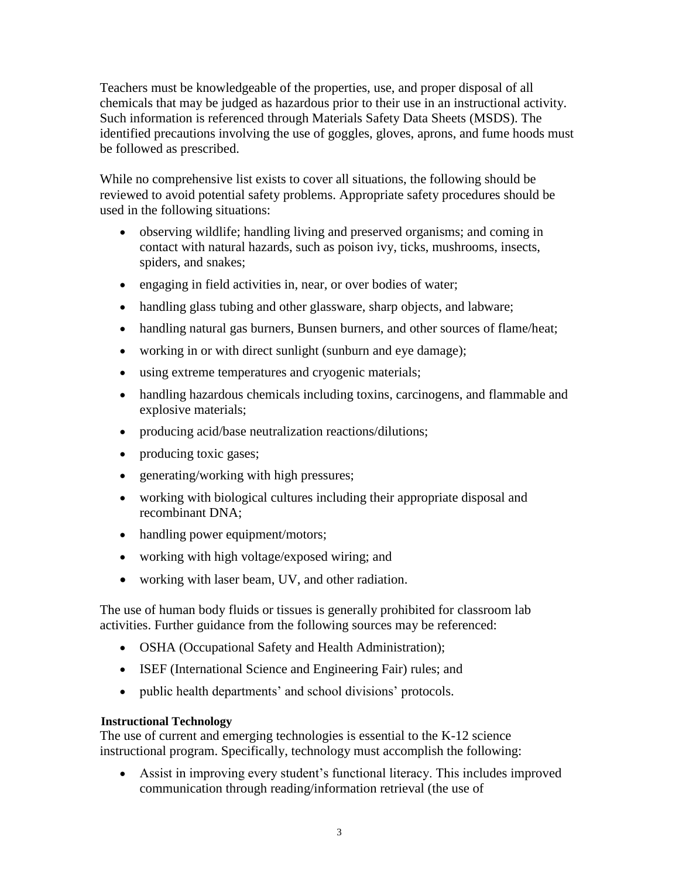Teachers must be knowledgeable of the properties, use, and proper disposal of all chemicals that may be judged as hazardous prior to their use in an instructional activity. Such information is referenced through Materials Safety Data Sheets (MSDS). The identified precautions involving the use of goggles, gloves, aprons, and fume hoods must be followed as prescribed.

While no comprehensive list exists to cover all situations, the following should be reviewed to avoid potential safety problems. Appropriate safety procedures should be used in the following situations:

- observing wildlife; handling living and preserved organisms; and coming in contact with natural hazards, such as poison ivy, ticks, mushrooms, insects, spiders, and snakes;
- engaging in field activities in, near, or over bodies of water;
- handling glass tubing and other glassware, sharp objects, and labware;
- handling natural gas burners, Bunsen burners, and other sources of flame/heat;
- working in or with direct sunlight (sunburn and eye damage);
- using extreme temperatures and cryogenic materials;
- handling hazardous chemicals including toxins, carcinogens, and flammable and explosive materials;
- producing acid/base neutralization reactions/dilutions;
- producing toxic gases;
- generating/working with high pressures;
- working with biological cultures including their appropriate disposal and recombinant DNA;
- handling power equipment/motors;
- working with high voltage/exposed wiring; and
- working with laser beam, UV, and other radiation.

The use of human body fluids or tissues is generally prohibited for classroom lab activities. Further guidance from the following sources may be referenced:

- OSHA (Occupational Safety and Health Administration);
- ISEF (International Science and Engineering Fair) rules; and
- public health departments' and school divisions' protocols.

#### **Instructional Technology**

The use of current and emerging technologies is essential to the K-12 science instructional program. Specifically, technology must accomplish the following:

 Assist in improving every student's functional literacy. This includes improved communication through reading/information retrieval (the use of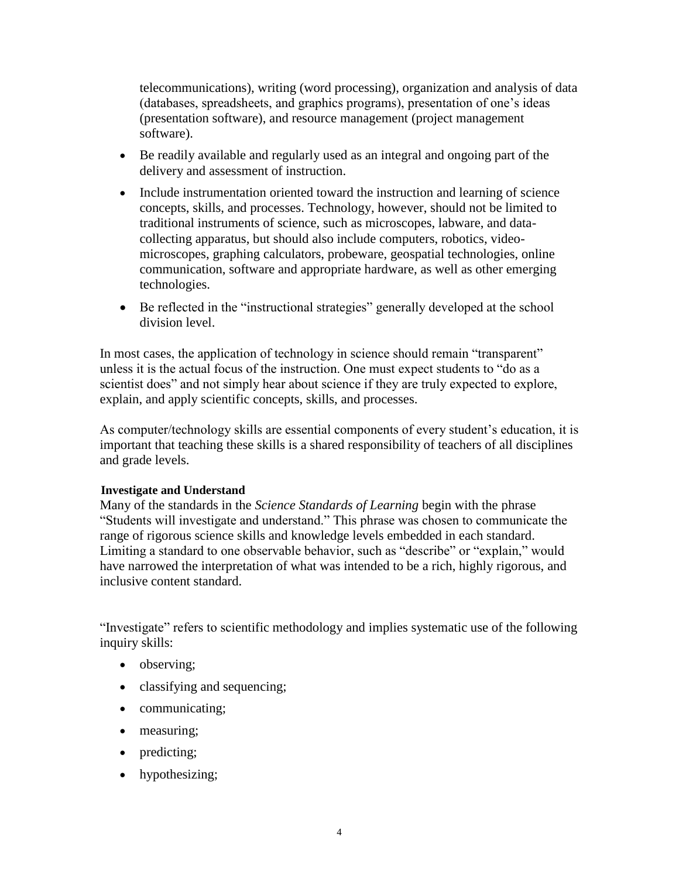telecommunications), writing (word processing), organization and analysis of data (databases, spreadsheets, and graphics programs), presentation of one's ideas (presentation software), and resource management (project management software).

- Be readily available and regularly used as an integral and ongoing part of the delivery and assessment of instruction.
- Include instrumentation oriented toward the instruction and learning of science concepts, skills, and processes. Technology, however, should not be limited to traditional instruments of science, such as microscopes, labware, and datacollecting apparatus, but should also include computers, robotics, videomicroscopes, graphing calculators, probeware, geospatial technologies, online communication, software and appropriate hardware, as well as other emerging technologies.
- Be reflected in the "instructional strategies" generally developed at the school division level.

In most cases, the application of technology in science should remain "transparent" unless it is the actual focus of the instruction. One must expect students to "do as a scientist does" and not simply hear about science if they are truly expected to explore, explain, and apply scientific concepts, skills, and processes.

As computer/technology skills are essential components of every student's education, it is important that teaching these skills is a shared responsibility of teachers of all disciplines and grade levels.

#### **Investigate and Understand**

Many of the standards in the *Science Standards of Learning* begin with the phrase "Students will investigate and understand." This phrase was chosen to communicate the range of rigorous science skills and knowledge levels embedded in each standard. Limiting a standard to one observable behavior, such as "describe" or "explain," would have narrowed the interpretation of what was intended to be a rich, highly rigorous, and inclusive content standard.

"Investigate" refers to scientific methodology and implies systematic use of the following inquiry skills:

- observing;
- classifying and sequencing;
- communicating;
- measuring;
- predicting;
- hypothesizing;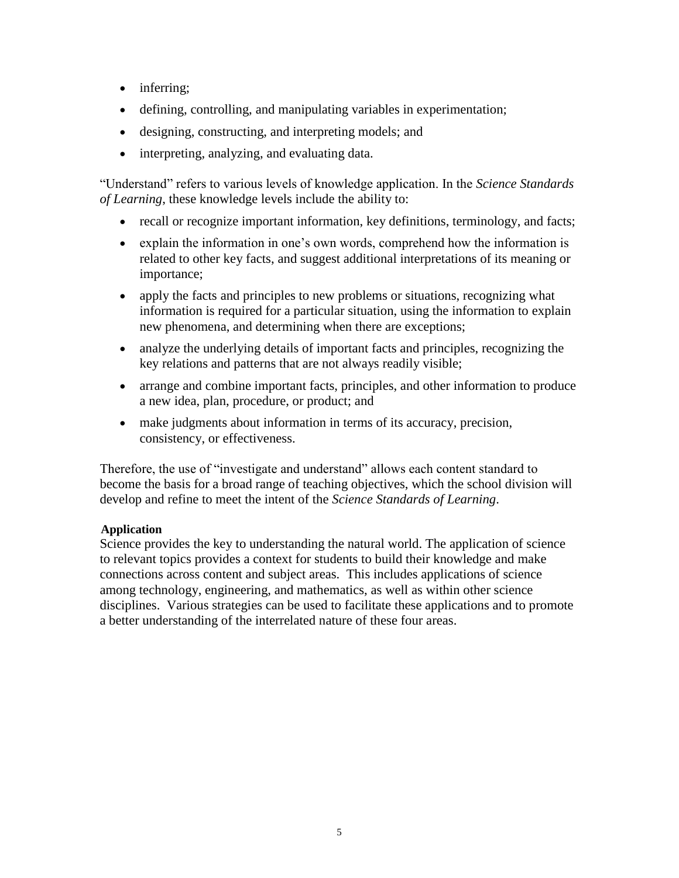- inferring;
- defining, controlling, and manipulating variables in experimentation;
- designing, constructing, and interpreting models; and
- interpreting, analyzing, and evaluating data.

"Understand" refers to various levels of knowledge application. In the *Science Standards of Learning*, these knowledge levels include the ability to:

- recall or recognize important information, key definitions, terminology, and facts;
- explain the information in one's own words, comprehend how the information is related to other key facts, and suggest additional interpretations of its meaning or importance;
- apply the facts and principles to new problems or situations, recognizing what information is required for a particular situation, using the information to explain new phenomena, and determining when there are exceptions;
- analyze the underlying details of important facts and principles, recognizing the key relations and patterns that are not always readily visible;
- arrange and combine important facts, principles, and other information to produce a new idea, plan, procedure, or product; and
- make judgments about information in terms of its accuracy, precision, consistency, or effectiveness.

Therefore, the use of "investigate and understand" allows each content standard to become the basis for a broad range of teaching objectives, which the school division will develop and refine to meet the intent of the *Science Standards of Learning*.

#### **Application**

Science provides the key to understanding the natural world. The application of science to relevant topics provides a context for students to build their knowledge and make connections across content and subject areas. This includes applications of science among technology, engineering, and mathematics, as well as within other science disciplines. Various strategies can be used to facilitate these applications and to promote a better understanding of the interrelated nature of these four areas.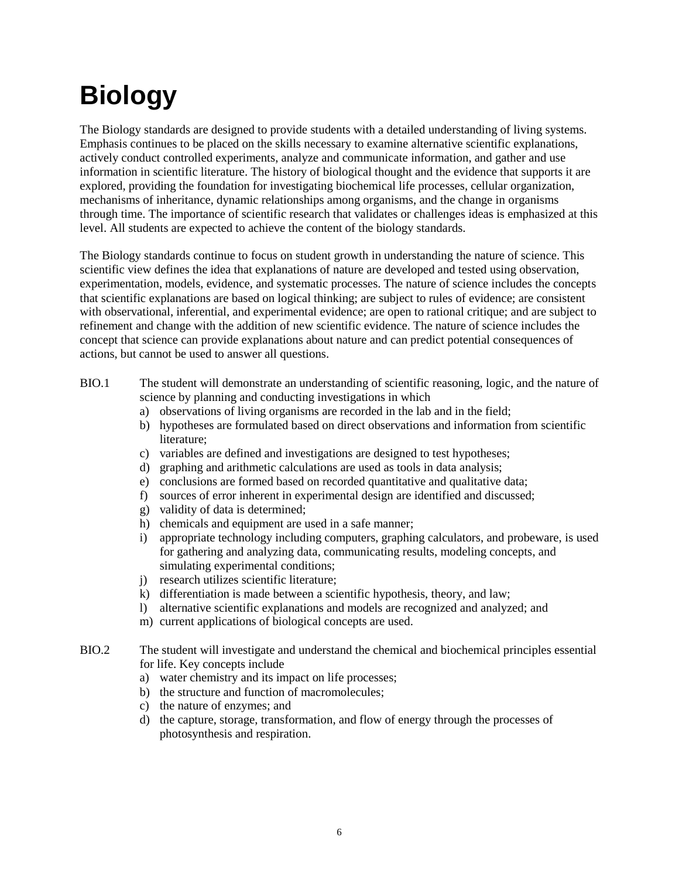# **Biology**

The Biology standards are designed to provide students with a detailed understanding of living systems. Emphasis continues to be placed on the skills necessary to examine alternative scientific explanations, actively conduct controlled experiments, analyze and communicate information, and gather and use information in scientific literature. The history of biological thought and the evidence that supports it are explored, providing the foundation for investigating biochemical life processes, cellular organization, mechanisms of inheritance, dynamic relationships among organisms, and the change in organisms through time. The importance of scientific research that validates or challenges ideas is emphasized at this level. All students are expected to achieve the content of the biology standards.

The Biology standards continue to focus on student growth in understanding the nature of science. This scientific view defines the idea that explanations of nature are developed and tested using observation, experimentation, models, evidence, and systematic processes. The nature of science includes the concepts that scientific explanations are based on logical thinking; are subject to rules of evidence; are consistent with observational, inferential, and experimental evidence; are open to rational critique; and are subject to refinement and change with the addition of new scientific evidence. The nature of science includes the concept that science can provide explanations about nature and can predict potential consequences of actions, but cannot be used to answer all questions.

- BIO.1 The student will demonstrate an understanding of scientific reasoning, logic, and the nature of science by planning and conducting investigations in which
	- a) observations of living organisms are recorded in the lab and in the field;
	- b) hypotheses are formulated based on direct observations and information from scientific literature;
	- c) variables are defined and investigations are designed to test hypotheses;
	- d) graphing and arithmetic calculations are used as tools in data analysis;
	- e) conclusions are formed based on recorded quantitative and qualitative data;
	- f) sources of error inherent in experimental design are identified and discussed;
	- g) validity of data is determined;
	- h) chemicals and equipment are used in a safe manner;
	- i) appropriate technology including computers, graphing calculators, and probeware, is used for gathering and analyzing data, communicating results, modeling concepts, and simulating experimental conditions;
	- j) research utilizes scientific literature;
	- k) differentiation is made between a scientific hypothesis, theory, and law;
	- l) alternative scientific explanations and models are recognized and analyzed; and
	- m) current applications of biological concepts are used.
- BIO.2 The student will investigate and understand the chemical and biochemical principles essential for life. Key concepts include
	- a) water chemistry and its impact on life processes;
	- b) the structure and function of macromolecules;
	- c) the nature of enzymes; and
	- d) the capture, storage, transformation, and flow of energy through the processes of photosynthesis and respiration.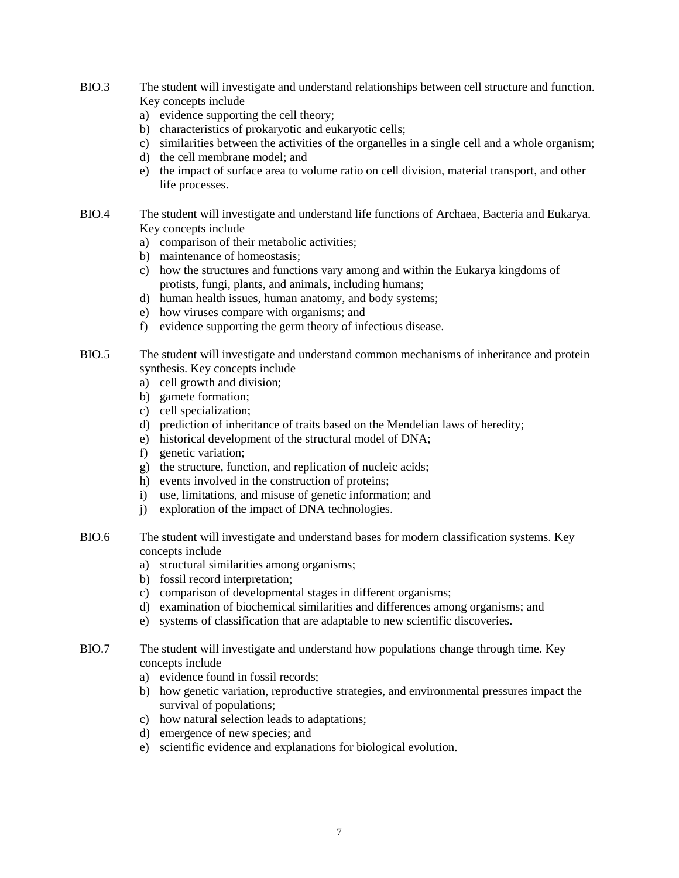- BIO.3 The student will investigate and understand relationships between cell structure and function. Key concepts include
	- a) evidence supporting the cell theory;
	- b) characteristics of prokaryotic and eukaryotic cells;
	- c) similarities between the activities of the organelles in a single cell and a whole organism;
	- d) the cell membrane model; and
	- e) the impact of surface area to volume ratio on cell division, material transport, and other life processes.
- BIO.4 The student will investigate and understand life functions of Archaea, Bacteria and Eukarya. Key concepts include
	- a) comparison of their metabolic activities;
	- b) maintenance of homeostasis;
	- c) how the structures and functions vary among and within the Eukarya kingdoms of protists, fungi, plants, and animals, including humans;
	- d) human health issues, human anatomy, and body systems;
	- e) how viruses compare with organisms; and
	- f) evidence supporting the germ theory of infectious disease.
- BIO.5 The student will investigate and understand common mechanisms of inheritance and protein synthesis. Key concepts include
	- a) cell growth and division;
	- b) gamete formation;
	- c) cell specialization;
	- d) prediction of inheritance of traits based on the Mendelian laws of heredity;
	- e) historical development of the structural model of DNA;
	- f) genetic variation;
	- g) the structure, function, and replication of nucleic acids;
	- h) events involved in the construction of proteins;
	- i) use, limitations, and misuse of genetic information; and
	- j) exploration of the impact of DNA technologies.
- BIO.6 The student will investigate and understand bases for modern classification systems. Key concepts include
	- a) structural similarities among organisms;
	- b) fossil record interpretation;
	- c) comparison of developmental stages in different organisms;
	- d) examination of biochemical similarities and differences among organisms; and
	- e) systems of classification that are adaptable to new scientific discoveries.
- BIO.7 The student will investigate and understand how populations change through time. Key concepts include
	- a) evidence found in fossil records;
	- b) how genetic variation, reproductive strategies, and environmental pressures impact the survival of populations;
	- c) how natural selection leads to adaptations;
	- d) emergence of new species; and
	- e) scientific evidence and explanations for biological evolution.